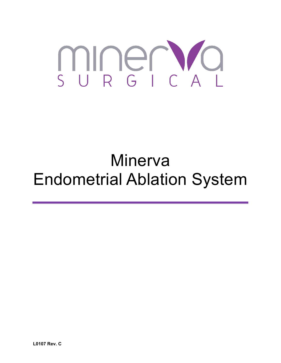

# Minerva Endometrial Ablation System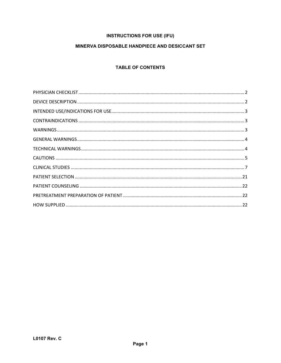# **INSTRUCTIONS FOR USE (IFU)**

# MINERVA DISPOSABLE HANDPIECE AND DESICCANT SET

# **TABLE OF CONTENTS**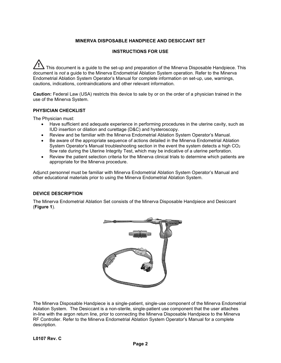# **MINERVA DISPOSABLE HANDPIECE AND DESICCANT SET**

# **INSTRUCTIONS FOR USE**

This document is a guide to the set-up and preparation of the Minerva Disposable Handpiece. This document is *not* a guide to the Minerva Endometrial Ablation System operation. Refer to the Minerva Endometrial Ablation System Operator's Manual for complete information on set-up, use, warnings, cautions, indications, contraindications and other relevant information. !<br>!

**Caution:** Federal Law (USA) restricts this device to sale by or on the order of a physician trained in the use of the Minerva System.

## <span id="page-2-0"></span>**PHYSICIAN CHECKLIST**

The Physician must:

- Have sufficient and adequate experience in performing procedures in the uterine cavity, such as IUD insertion or dilation and curettage (D&C) and hysteroscopy.
- Review and be familiar with the Minerva Endometrial Ablation System Operator's Manual.
- Be aware of the appropriate sequence of actions detailed in the Minerva Endometrial Ablation System Operator's Manual troubleshooting section in the event the system detects a high  $CO<sub>2</sub>$ flow rate during the Uterine Integrity Test, which may be indicative of a uterine perforation.
- Review the patient selection criteria for the Minerva clinical trials to determine which patients are appropriate for the Minerva procedure.

Adjunct personnel must be familiar with Minerva Endometrial Ablation System Operator's Manual and other educational materials prior to using the Minerva Endometrial Ablation System.

#### <span id="page-2-1"></span>**DEVICE DESCRIPTION**

The Minerva Endometrial Ablation Set consists of the Minerva Disposable Handpiece and Desiccant (**Figure 1**).



The Minerva Disposable Handpiece is a single-patient, single-use component of the Minerva Endometrial Ablation System. The Desiccant is a non-sterile, single-patient use component that the user attaches in-line with the argon return line, prior to connecting the Minerva Disposable Handpiece to the Minerva RF Controller. Refer to the Minerva Endometrial Ablation System Operator's Manual for a complete description.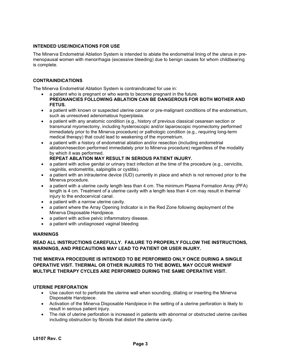## <span id="page-3-0"></span>**INTENDED USE/INDICATIONS FOR USE**

The Minerva Endometrial Ablation System is intended to ablate the endometrial lining of the uterus in premenopausal women with menorrhagia (excessive bleeding) due to benign causes for whom childbearing is complete.

# <span id="page-3-1"></span>**CONTRAINDICATIONS**

The Minerva Endometrial Ablation System is contraindicated for use in:

- a patient who is pregnant or who wants to become pregnant in the future. **PREGNANCIES FOLLOWING ABLATION CAN BE DANGEROUS FOR BOTH MOTHER AND FETUS.**
- a patient with known or suspected uterine cancer or pre-malignant conditions of the endometrium, such as unresolved adenomatous hyperplasia.
- a patient with any anatomic condition (e.g., history of previous classical cesarean section or transmural myomectomy, including hysteroscopic and/or laparoscopic myomectomy performed immediately prior to the Minerva procedure) or pathologic condition (e.g., requiring long-term medical therapy) that could lead to weakening of the myometrium.
- a patient with a history of endometrial ablation and/or resection (including endometrial ablation/resection performed immediately prior to Minerva procedure) regardless of the modality by which it was performed.

## **REPEAT ABLATION MAY RESULT IN SERIOUS PATIENT INJURY.**

- a patient with active genital or urinary tract infection at the time of the procedure (e.g., cervicitis, vaginitis, endometritis, salpingitis or cystitis).
- a patient with an intrauterine device (IUD) currently in place and which is not removed prior to the Minerva procedure.
- a patient with a uterine cavity length less than 4 cm. The minimum Plasma Formation Array (PFA) length is 4 cm. Treatment of a uterine cavity with a length less than 4 cm may result in thermal injury to the endocervical canal.
- a patient with a narrow uterine cavity.
- a patient where the Array Opening Indicator is in the Red Zone following deployment of the Minerva Disposable Handpiece.
- a patient with active pelvic inflammatory disease.
- a patient with undiagnosed vaginal bleeding

# <span id="page-3-2"></span>**WARNINGS**

**READ ALL INSTRUCTIONS CAREFULLY. FAILURE TO PROPERLY FOLLOW THE INSTRUCTIONS, WARNINGS, AND PRECAUTIONS MAY LEAD TO PATIENT OR USER INJURY.**

**THE MINERVA PROCEDURE IS INTENDED TO BE PERFORMED ONLY ONCE DURING A SINGLE OPERATIVE VISIT. THERMAL OR OTHER INJURIES TO THE BOWEL MAY OCCUR WHEN/IF MULTIPLE THERAPY CYCLES ARE PERFORMED DURING THE SAME OPERATIVE VISIT.**

#### **UTERINE PERFORATION**

- Use caution not to perforate the uterine wall when sounding, dilating or inserting the Minerva Disposable Handpiece.
- Activation of the Minerva Disposable Handpiece in the setting of a uterine perforation is likely to result in serious patient injury.
- The risk of uterine perforation is increased in patients with abnormal or obstructed uterine cavities including obstruction by fibroids that distort the uterine cavity.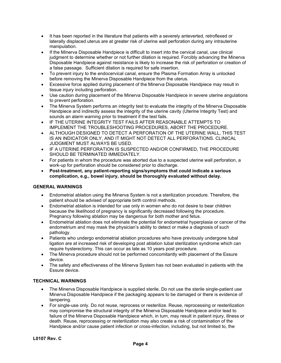- It has been reported in the literature that patients with a severely anteverted, retroflexed or laterally displaced uterus are at greater risk of uterine wall perforation during any intrauterine manipulation.
- If the Minerva Disposable Handpiece is difficult to insert into the cervical canal, use clinical judgment to determine whether or not further dilation is required. Forcibly advancing the Minerva Disposable Handpiece against resistance is likely to increase the risk of perforation or creation of a false passage. Sufficient dilation is required for safe insertion.
- To prevent injury to the endocervical canal, ensure the Plasma Formation Array is unlocked before removing the Minerva Disposable Handpiece from the uterus.
- Excessive force applied during placement of the Minerva Disposable Handpiece may result in tissue injury including perforation.
- Use caution during placement of the Minerva Disposable Handpiece in severe uterine angulations to prevent perforation.
- The Minerva System performs an integrity test to evaluate the integrity of the Minerva Disposable Handpiece and indirectly assess the integrity of the uterine cavity (Uterine Integrity Test) and sounds an alarm warning prior to treatment if the test fails.
- IF THE UTERINE INTEGRITY TEST FAILS AFTER REASONABLE ATTEMPTS TO IMPLEMENT THE TROUBLESHOOTING PROCEDURES, ABORT THE PROCEDURE.
- ALTHOUGH DESIGNED TO DETECT A PERFORATION OF THE UTERINE WALL, THIS TEST IS AN INDICATOR ONLY, AND IT MIGHT NOT DETECT ALL PERFORATIONS. CLINICAL JUDGMENT MUST ALWAYS BE USED.
- IF A UTERINE PERFORATION IS SUSPECTED AND/OR CONFIRMED, THE PROCEDURE SHOULD BE TERMINATED IMMEDIATELY.
- For patients in whom the procedure was aborted due to a suspected uterine wall perforation, a work-up for perforation should be considered prior to discharge.
- **Post-treatment, any patient-reporting signs/symptoms that could indicate a serious complication, e.g., bowel injury, should be thoroughly evaluated without delay.**

# <span id="page-4-0"></span>**GENERAL WARNINGS**

- Endometrial ablation using the Minerva System is not a sterilization procedure. Therefore, the patient should be advised of appropriate birth control methods.
- Endometrial ablation is intended for use only in women who do not desire to bear children because the likelihood of pregnancy is significantly decreased following the procedure. Pregnancy following ablation may be dangerous for both mother and fetus.
- Endometrial ablation does not eliminate the potential for endometrial hyperplasia or cancer of the endometrium and may mask the physician's ability to detect or make a diagnosis of such pathology.
- Patients who undergo endometrial ablation procedures who have previously undergone tubal ligation are at increased risk of developing post ablation tubal sterilization syndrome which can require hysterectomy. This can occur as late as 10 years post procedure.
- The Minerva procedure should not be performed concomitantly with placement of the Essure device.
- The safety and effectiveness of the Minerva System has not been evaluated in patients with the Essure device.

# <span id="page-4-1"></span>**TECHNICAL WARNINGS**

- The Minerva Disposable Handpiece is supplied sterile. Do not use the sterile single-patient use Minerva Disposable Handpiece if the packaging appears to be damaged or there is evidence of tampering.
- For single-use only. Do not reuse, reprocess or resterilize. Reuse, reprocessing or resterilization may compromise the structural integrity of the Minerva Disposable Handpiece and/or lead to failure of the Minerva Disposable Handpiece which, in turn, may result in patient injury, illness or death. Reuse, reprocessing or resterilization may also create a risk of contamination of the Handpiece and/or cause patient infection or cross-infection, including, but not limited to, the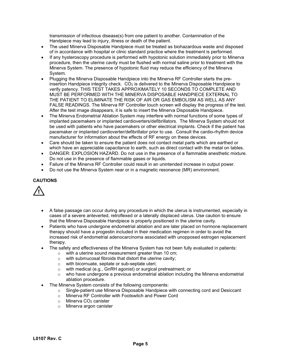transmission of infectious disease(s) from one patient to another. Contamination of the Handpiece may lead to injury, illness or death of the patient.

- The used Minerva Disposable Handpiece must be treated as biohazardous waste and disposed of in accordance with hospital or clinic standard practice where the treatment is performed.
- If any hysteroscopy procedure is performed with hypotonic solution immediately prior to Minerva procedure, then the uterine cavity must be flushed with normal saline prior to treatment with the Minerva System. The presence of hypotonic fluid may reduce the efficiency of the Minerva System.
- Plugging the Minerva Disposable Handpiece into the Minerva RF Controller starts the preinsertion Handpiece integrity check.  $CO<sub>2</sub>$  is delivered to the Minerva Disposable Handpiece to verify patency. THIS TEST TAKES APPROXIMATELY 10 SECONDS TO COMPLETE AND MUST BE PERFORMED WITH THE MINERVA DISPOSABLE HANDPIECE EXTERNAL TO THE PATIENT TO ELIMINATE THE RISK OF AIR OR GAS EMBOLISM AS WELL AS ANY FALSE READINGS. The Minerva RF Controller touch screen will display the progress of the test. After the test image disappears, it is safe to insert the Minerva Disposable Handpiece.
- The Minerva Endometrial Ablation System may interfere with normal functions of some types of implanted pacemakers or implanted cardioverters/defibrillators. The Minerva System should not be used with patients who have pacemakers or other electrical implants. Check if the patient has pacemaker or implanted cardioverter/defibrillator prior to use. Consult the cardio-rhythm device manufacturer for information about the effects of RF energy on these devices.
- Care should be taken to ensure the patient does not contact metal parts which are earthed or which have an appreciable capacitance to earth, such as direct contact with the metal on tables.
- DANGER: EXPLOSION HAZARD. Do not use in the presence of a flammable anesthetic mixture. Do not use in the presence of flammable gases or liquids.
- Failure of the Minerva RF Controller could result in an unintended increase in output power.
- Do not use the Minerva System near or in a magnetic resonance (MR) environment.

## <span id="page-5-0"></span>**CAUTIONS**



- A false passage can occur during any procedure in which the uterus is instrumented, especially in cases of a severe anteverted, retroflexed or a laterally displaced uterus. Use caution to ensure that the Minerva Disposable Handpiece is properly positioned in the uterine cavity.
- Patients who have undergone endometrial ablation and are later placed on hormone replacement therapy should have a progestin included in their medication regimen in order to avoid the increased risk of endometrial adenocarcinoma associated with unopposed estrogen replacement therapy.
- The safety and effectiveness of the Minerva System has not been fully evaluated in patients:
	- $\circ$  with a uterine sound measurement greater than 10 cm;
	- $\circ$  with submucosal fibroids that distort the uterine cavity;<br>  $\circ$  with bicornuate, septate or sub-septate uteri:
	-
	- $\circ$  with bicornuate, septate or sub-septate uteri;<br>  $\circ$  with medical (e.g., GnRH agonist) or surgical with medical (e.g., GnRH agonist) or surgical pretreatment; or
	- $\circ$  who have undergone a previous endometrial ablation including the Minerva endometrial ablation procedure.
- The Minerva System consists of the following components:
	- o Single-patient use Minerva Disposable Handpiece with connecting cord and Desiccant
	- o Minerva RF Controller with Footswitch and Power Cord
	- $\circ$  Minerva CO<sub>2</sub> canister
	- o Minerva argon canister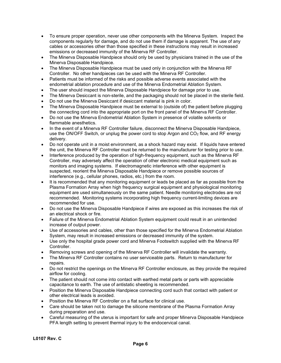- To ensure proper operation, never use other components with the Minerva System. Inspect the components regularly for damage, and do not use them if damage is apparent. The use of any cables or accessories other than those specified in these instructions may result in increased emissions or decreased immunity of the Minerva RF Controller.
- The Minerva Disposable Handpiece should only be used by physicians trained in the use of the Minerva Disposable Handpiece.
- The Minerva Disposable Handpiece must be used only in conjunction with the Minerva RF Controller. No other handpieces can be used with the Minerva RF Controller.
- Patients must be informed of the risks and possible adverse events associated with the endometrial ablation procedure and use of the Minerva Endometrial Ablation System.
- The user should inspect the Minerva Disposable Handpiece for damage prior to use.
- The Minerva Desiccant is non-sterile, and the packaging should not be placed in the sterile field.
- Do not use the Minerva Desiccant if desiccant material is pink in color.
- The Minerva Disposable Handpiece must be external to (outside of) the patient before plugging the connecting cord into the appropriate port on the front panel of the Minerva RF Controller.
- Do not use the Minerva Endometrial Ablation System in presence of volatile solvents or flammable anesthetics.
- In the event of a Minerva RF Controller failure, disconnect the Minerva Disposable Handpiece, use the ON/OFF Switch, or unplug the power cord to stop Argon and  $CO<sub>2</sub>$  flow, and RF energy delivery.
- Do not operate unit in a moist environment, as a shock hazard may exist. If liquids have entered the unit, the Minerva RF Controller must be returned to the manufacturer for testing prior to use.
- Interference produced by the operation of high-frequency equipment, such as the Minerva RF Controller, may adversely affect the operation of other electronic medical equipment such as monitors and imaging systems. If electromagnetic interference with other equipment is suspected, reorient the Minerva Disposable Handpiece or remove possible sources of interference (e.g., cellular phones, radios, etc.) from the room.
- It is recommended that any monitoring equipment or leads be placed as far as possible from the Plasma Formation Array when high frequency surgical equipment and physiological monitoring equipment are used simultaneously on the same patient. Needle monitoring electrodes are not recommended. Monitoring systems incorporating high frequency current-limiting devices are recommended for use.
- Do not use the Minerva Disposable Handpiece if wires are exposed as this increases the risk of an electrical shock or fire.
- Failure of the Minerva Endometrial Ablation System equipment could result in an unintended increase of output power.
- Use of accessories and cables, other than those specified for the Minerva Endometrial Ablation System, may result in increased emissions or decreased immunity of the system.
- Use only the hospital grade power cord and Minerva Footswitch supplied with the Minerva RF Controller.
- Removing screws and opening of the Minerva RF Controller will invalidate the warranty.
- The Minerva RF Controller contains no user serviceable parts. Return to manufacturer for repairs.
- Do not restrict the openings on the Minerva RF Controller enclosure, as they provide the required airflow for cooling.
- The patient should not come into contact with earthed metal parts or parts with appreciable capacitance to earth. The use of antistatic sheeting is recommended.
- Position the Minerva Disposable Handpiece connecting cord such that contact with patient or other electrical leads is avoided.
- Position the Minerva RF Controller on a flat surface for clinical use.
- Care should be taken not to damage the silicone membrane of the Plasma Formation Array during preparation and use.
- Careful measuring of the uterus is important for safe and proper Minerva Disposable Handpiece PFA length setting to prevent thermal injury to the endocervical canal.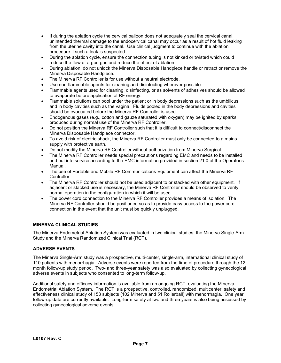- If during the ablation cycle the cervical balloon does not adequately seal the cervical canal, unintended thermal damage to the endocervical canal may occur as a result of hot fluid leaking from the uterine cavity into the canal. Use clinical judgment to continue with the ablation procedure if such a leak is suspected.
- During the ablation cycle, ensure the connection tubing is not kinked or twisted which could reduce the flow of argon gas and reduce the effect of ablation.
- During ablation, do not unlock the Minerva Disposable Handpiece handle or retract or remove the Minerva Disposable Handpiece.
- The Minerva RF Controller is for use without a neutral electrode.
- Use non-flammable agents for cleaning and disinfecting wherever possible.
- Flammable agents used for cleaning, disinfecting, or as solvents of adhesives should be allowed to evaporate before application of RF energy.
- Flammable solutions can pool under the patient or in body depressions such as the umbilicus, and in body cavities such as the vagina. Fluids pooled in the body depressions and cavities should be evacuated before the Minerva RF Controller is used.
- Endogenous gases (e.g., cotton and gauze saturated with oxygen) may be ignited by sparks produced during normal use of the Minerva RF Controller.
- Do not position the Minerva RF Controller such that it is difficult to connect/disconnect the Minerva Disposable Handpiece connector.
- To avoid risk of electric shock, the Minerva RF Controller must only be connected to a mains supply with protective earth.
- Do not modify the Minerva RF Controller without authorization from Minerva Surgical.
- The Minerva RF Controller needs special precautions regarding EMC and needs to be installed and put into service according to the EMC information provided in section 21.0 of the Operator's Manual.
- The use of Portable and Mobile RF Communications Equipment can affect the Minerva RF Controller.
- The Minerva RF Controller should not be used adjacent to or stacked with other equipment. If adjacent or stacked use is necessary, the Minerva RF Controller should be observed to verify normal operation in the configuration in which it will be used.
- The power cord connection to the Minerva RF Controller provides a means of isolation. The Minerva RF Controller should be positioned so as to provide easy access to the power cord connection in the event that the unit must be quickly unplugged.

# <span id="page-7-0"></span>**MINERVA CLINICAL STUDIES**

The Minerva Endometrial Ablation System was evaluated in two clinical studies, the Minerva Single-Arm Study and the Minerva Randomized Clinical Trial (RCT).

# **ADVERSE EVENTS**

The Minerva Single-Arm study was a prospective, multi-center, single-arm, international clinical study of 110 patients with menorrhagia. Adverse events were reported from the time of procedure through the 12 month follow-up study period. Two- and three-year safety was also evaluated by collecting gynecological adverse events in subjects who consented to long-term follow-up.

Additional safety and efficacy information is available from an ongoing RCT, evaluating the Minerva Endometrial Ablation System. The RCT is a prospective, controlled, randomized, multicenter, safety and effectiveness clinical study of 153 subjects (102 Minerva and 51 Rollerball) with menorrhagia. One year follow-up data are currently available. Long-term safety at two and three years is also being assessed by collecting gynecological adverse events.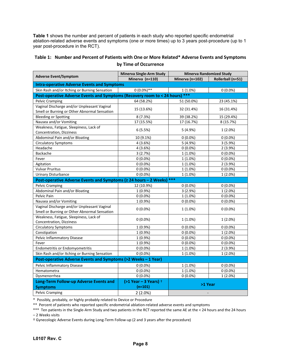**Table 1** shows the number and percent of patients in each study who reported specific endometrial ablation-related adverse events and symptoms (one or more times) up to 3 years post-procedure (up to 1 year post-procedure in the RCT).

# **Table 1: Number and Percent of Patients with One or More Related\* Adverse Events and Symptoms by Time of Occurrence**

|                                                                          | <b>Minerva Single-Arm Study</b><br><b>Minerva Randomized Study</b> |                 |                   |  |  |
|--------------------------------------------------------------------------|--------------------------------------------------------------------|-----------------|-------------------|--|--|
| <b>Adverse Event/Symptom</b>                                             | Minerva (n=110)                                                    | Minerva (n=102) | Rollerball (n=51) |  |  |
| <b>Intra-operative Adverse Events and Symptoms</b>                       |                                                                    |                 |                   |  |  |
| Skin Rash and/or Itching or Burning Sensation                            | $0(0.0\%)**$                                                       | $1(1.0\%)$      | $0(0.0\%)$        |  |  |
| Post-operative Adverse Events and Symptoms (Recovery room to < 24 hours) |                                                                    | ***             |                   |  |  |
| <b>Pelvic Cramping</b>                                                   | 64 (58.2%)                                                         | 51 (50.0%)      | 23 (45.1%)        |  |  |
| Vaginal Discharge and/or Unpleasant Vaginal                              | 15 (13.6%)                                                         | 32 (31.4%)      | 16 (31.4%)        |  |  |
| Smell or Burning or Other Abnormal Sensation                             |                                                                    |                 |                   |  |  |
| <b>Bleeding or Spotting</b>                                              | 8 (7.3%)                                                           | 39 (38.2%)      | 15 (29.4%)        |  |  |
| Nausea and/or Vomiting                                                   | 17 (15.5%)                                                         | 17 (16.7%)      | 8 (15.7%)         |  |  |
| Weakness, Fatigue, Sleepiness, Lack of                                   | 6(5.5%)                                                            | 5 (4.9%)        | $1(2.0\%)$        |  |  |
| Concentration, Dizziness                                                 |                                                                    |                 |                   |  |  |
| Abdominal Pain and/or Bloating                                           | 10 (9.1%)                                                          | $0(0.0\%)$      | $0(0.0\%)$        |  |  |
| <b>Circulatory Symptoms</b>                                              | 4(3.6%)                                                            | 5(4.9%)         | 3(5.9%)           |  |  |
| Headache                                                                 | 4(3.6%)                                                            | $0(0.0\%)$      | 2(3.9%)           |  |  |
| Backache                                                                 | 3(2.7%)                                                            | $1(1.0\%)$      | $0(0.0\%)$        |  |  |
| Fever                                                                    | $0(0.0\%)$                                                         | $1(1.0\%)$      | $0(0.0\%)$        |  |  |
| Agitation                                                                | $0(0.0\%)$                                                         | $1(1.0\%)$      | 2(3.9%)           |  |  |
| <b>Vulvar Pruritus</b>                                                   | $0(0.0\%)$                                                         | $1(1.0\%)$      | $0(0.0\%)$        |  |  |
| <b>Urinary Disturbance</b>                                               | $0(0.0\%)$                                                         | $1(1.0\%)$      | $1(2.0\%)$        |  |  |
| Post-operative Adverse Events and Symptoms (≥ 24 hours - 2 Weeks)        |                                                                    | ***             |                   |  |  |
| <b>Pelvic Cramping</b>                                                   | 12 (10.9%)                                                         | $0(0.0\%)$      | $0(0.0\%)$        |  |  |
| Abdominal Pain and/or Bloating                                           | $1(0.9\%)$                                                         | 3(2.9%)         | $1(2.0\%)$        |  |  |
| Pelvic Pain                                                              | $0(0.0\%)$                                                         | $1(1.0\%)$      | $0(0.0\%)$        |  |  |
| Nausea and/or Vomiting                                                   | $1(0.9\%)$                                                         | $0(0.0\%)$      | $0(0.0\%)$        |  |  |
| Vaginal Discharge and/or Unpleasant Vaginal                              | $0(0.0\%)$                                                         | $1(1.0\%)$      | $0(0.0\%)$        |  |  |
| Smell or Burning or Other Abnormal Sensation                             |                                                                    |                 |                   |  |  |
| Weakness, Fatigue, Sleepiness, Lack of                                   | $0(0.0\%)$                                                         | $1(1.0\%)$      | $1(2.0\%)$        |  |  |
| Concentration, Dizziness                                                 |                                                                    |                 |                   |  |  |
| <b>Circulatory Symptoms</b>                                              | $1(0.9\%)$                                                         | $0(0.0\%)$      | $0(0.0\%)$        |  |  |
| Constipation                                                             | 1 (0.9%)                                                           | $0(0.0\%)$      | $1(2.0\%)$        |  |  |
| Pelvic Inflammatory Disease                                              | 1 (0.9%)                                                           | $0(0.0\%)$      | $0(0.0\%)$        |  |  |
| Fever                                                                    | 1 (0.9%)                                                           | $0(0.0\%)$      | $0(0.0\%)$        |  |  |
| <b>Endometritis or Endomyometritis</b>                                   | $0(0.0\%)$                                                         | $1(1.0\%)$      | 2(3.9%)           |  |  |
| Skin Rash and/or Itching or Burning Sensation                            | $0(0.0\%)$                                                         | $1(1.0\%)$      | $1(2.0\%)$        |  |  |
| Post-operative Adverse Events and Symptoms (>2 Weeks - 1 Year)           |                                                                    |                 |                   |  |  |
| Pelvic Inflammatory Disease                                              | $0(0.0\%)$                                                         | $1(1.0\%)$      | $0(0.0\%)$        |  |  |
| Hematometra                                                              | $0(0.0\%)$                                                         | $1(1.0\%)$      | $0(0.0\%)$        |  |  |
| Dysmenorrhea                                                             | $0(0.0\%)$                                                         | $0(0.0\%)$      | $1(2.0\%)$        |  |  |
| Long-Term Follow-up Adverse Events and                                   | $($ >1 Year – 3 Years) $†$                                         |                 |                   |  |  |
| <b>Symptoms</b>                                                          | $(n=101)$                                                          | >1 Year         |                   |  |  |
| <b>Pelvic Cramping</b>                                                   | $2(2.0\%)$                                                         |                 |                   |  |  |

\* Possibly, probably, or highly probably related to Device or Procedure

\*\* Percent of patients who reported specific endometrial ablation-related adverse events and symptoms

\*\*\* Ten patients in the Single-Arm Study and two patients in the RCT reported the same AE at the < 24 hours and the 24 hours – 2 Weeks visits

† Gynecologic Adverse Events during Long-Term Follow-up (2 and 3 years after the procedure)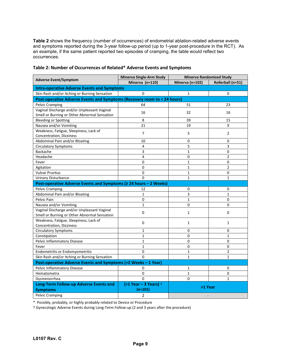**Table 2** shows the frequency (number of occurrences) of endometrial ablation-related adverse events and symptoms reported during the 3-year follow-up period (up to 1-year post-procedure in the RCT). As an example, if the same patient reported two episodes of cramping, the table would reflect two occurrences.

|                                                                          | <b>Minerva Single-Arm Study</b> | <b>Minerva Randomized Study</b> |                   |  |  |
|--------------------------------------------------------------------------|---------------------------------|---------------------------------|-------------------|--|--|
| <b>Adverse Event/Symptom</b>                                             | Minerva (n=110)                 | Minerva (n=102)                 | Rollerball (n=51) |  |  |
| <b>Intra-operative Adverse Events and Symptoms</b>                       |                                 |                                 |                   |  |  |
| Skin Rash and/or Itching or Burning Sensation                            | $\Omega$                        | $\mathbf{1}$                    | 0                 |  |  |
| Post-operative Adverse Events and Symptoms (Recovery room to < 24 hours) |                                 |                                 |                   |  |  |
| <b>Pelvic Cramping</b>                                                   | 64                              | 51                              | 23                |  |  |
| Vaginal Discharge and/or Unpleasant Vaginal                              | 16                              | 32                              | 16                |  |  |
| Smell or Burning or Other Abnormal Sensation                             |                                 |                                 |                   |  |  |
| <b>Bleeding or Spotting</b>                                              | 8                               | 39                              | 15                |  |  |
| Nausea and/or Vomiting                                                   | 21                              | 19                              | 9                 |  |  |
| Weakness, Fatigue, Sleepiness, Lack of                                   | 7                               | 5                               | $\overline{2}$    |  |  |
| Concentration, Dizziness                                                 |                                 |                                 |                   |  |  |
| Abdominal Pain and/or Bloating                                           | 10                              | 0                               | 0                 |  |  |
| <b>Circulatory Symptoms</b>                                              | 4                               | 5                               | 3                 |  |  |
| Backache                                                                 | 3                               | $\mathbf{1}$                    | $\mathbf 0$       |  |  |
| Headache                                                                 | 4                               | 0                               | $\overline{2}$    |  |  |
| Fever                                                                    | 0                               | $\mathbf{1}$                    | $\Omega$          |  |  |
| Agitation                                                                | 0                               | $\mathbf 1$                     | $\overline{2}$    |  |  |
| <b>Vulvar Pruritus</b>                                                   | 0                               | $\mathbf 1$                     | $\Omega$          |  |  |
| Urinary Disturbance                                                      | $\Omega$                        | $\mathbf{1}$                    | $\mathbf{1}$      |  |  |
| Post-operative Adverse Events and Symptoms (≥ 24 hours - 2 Weeks)        |                                 |                                 |                   |  |  |
| <b>Pelvic Cramping</b>                                                   | 12                              | 0                               | 0                 |  |  |
| Abdominal Pain and/or Bloating                                           | $\mathbf{1}$                    | 3                               | $\mathbf{1}$      |  |  |
| Pelvic Pain                                                              | 0                               | $\mathbf{1}$                    | $\Omega$          |  |  |
| Nausea and/or Vomiting                                                   | $\mathbf 1$                     | 0                               | $\Omega$          |  |  |
| Vaginal Discharge and/or Unpleasant Vaginal                              | 0                               | $\mathbf{1}$                    | 0                 |  |  |
| Smell or Burning or Other Abnormal Sensation                             |                                 |                                 |                   |  |  |
| Weakness, Fatigue, Sleepiness, Lack of                                   | 0                               | $\mathbf{1}$                    | $\mathbf{1}$      |  |  |
| Concentration, Dizziness                                                 |                                 |                                 |                   |  |  |
| <b>Circulatory Symptoms</b>                                              | 1                               | 0                               | 0                 |  |  |
| Constipation                                                             | $\mathbf{1}$                    | 0                               | $\mathbf{1}$      |  |  |
| Pelvic Inflammatory Disease                                              | $\mathbf{1}$                    | 0                               | 0                 |  |  |
| Fever                                                                    | $\mathbf{1}$                    | 0                               | 0                 |  |  |
| Endometritis or Endomyometritis                                          | 0                               | $\mathbf{1}$                    | $\overline{2}$    |  |  |
| Skin Rash and/or Itching or Burning Sensation                            | 0                               | $\mathbf{1}$                    | $\mathbf{1}$      |  |  |
| Post-operative Adverse Events and Symptoms (>2 Weeks - 1 Year)           |                                 |                                 |                   |  |  |
| Pelvic Inflammatory Disease                                              | 0                               | 1                               | 0                 |  |  |
| Hematometra                                                              | 0                               | $\mathbf 1$                     | $\Omega$          |  |  |
| Dysmenorrhea                                                             | 0                               | 0                               | 1                 |  |  |
| Long-Term Follow-up Adverse Events and                                   | $($ >1 Year – 3 Years) $†$      | >1 Year                         |                   |  |  |
| <b>Symptoms</b>                                                          | $(n=101)$                       |                                 |                   |  |  |
| <b>Pelvic Cramping</b>                                                   | 2                               |                                 |                   |  |  |

# **Table 2: Number of Occurrences of Related\* Adverse Events and Symptoms**

\* Possibly, probably, or highly probably related to Device or Procedure

† Gynecologic Adverse Events during Long-Term Follow-up (2 and 3 years after the procedure)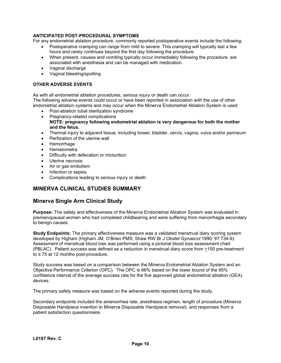# **ANTICIPATED POST-PROCEDURAL SYMPTOMS**

For any endometrial ablation procedure, commonly reported postoperative events include the following:

- Postoperative cramping can range from mild to severe. This cramping will typically last a few hours and rarely continues beyond the first day following the procedure.
- When present, nausea and vomiting typically occur immediately following the procedure, are associated with anesthesia and can be managed with medication.
- Vaginal discharge
- Vaginal bleeding/spotting

# **OTHER ADVERSE EVENTS**

As with all endometrial ablation procedures, serious injury or death can occur.

The following adverse events could occur or have been reported in association with the use of other endometrial ablation systems and may occur when the Minerva Endometrial Ablation System is used:

- Post-ablation tubal sterilization syndrome
- Pregnancy-related complications **NOTE: pregnancy following endometrial ablation is very dangerous for both the mother and the fetus.**
- Thermal injury to adjacent tissue, including bowel, bladder, cervix, vagina, vulva and/or perineum
- Perforation of the uterine wall
- Hemorrhage
- Hematometra
- Difficulty with defecation or micturition
- Uterine necrosis
- Air or gas embolism
- Infection or sepsis
- Complications leading to serious injury or death

# **MINERVA CLINICAL STUDIES SUMMARY**

# **Minerva Single Arm Clinical Study**

**Purpose:** The safety and effectiveness of the Minerva Endometrial Ablation System was evaluated in premenopausal women who had completed childbearing and were suffering from menorrhagia secondary to benign causes.

**Study Endpoints:** The primary effectiveness measure was a validated menstrual diary scoring system developed by Higham (Higham JM, O'Brien PMS, Shaw RW *Br J Obstet Gynaecol* 1990; 97:734-9). Assessment of menstrual blood loss was performed using a pictorial blood loss assessment chart (PBLAC). Patient success was defined as a reduction in menstrual diary score from >150 pre-treatment to ≤ 75 at 12 months post-procedure.

Study success was based on a comparison between the Minerva Endometrial Ablation System and an Objective Performance Criterion (OPC). The OPC is 66% based on the lower bound of the 95% confidence interval of the average success rate for the five approved global endometrial ablation (GEA) devices.

The primary safety measure was based on the adverse events reported during the study.

Secondary endpoints included the amenorrhea rate, anesthesia regimen, length of procedure (Minerva Disposable Handpiece insertion to Minerva Disposable Handpiece removal), and responses from a patient satisfaction questionnaire.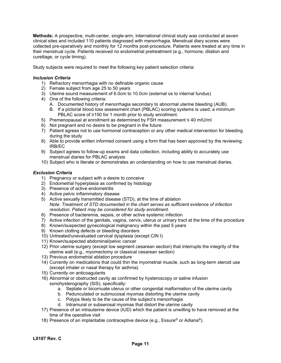**Methods:** A prospective, multi-center, single-arm, international clinical study was conducted at seven clinical sites and included 110 patients diagnosed with menorrhagia. Menstrual diary scores were collected pre-operatively and monthly for 12 months post-procedure. Patients were treated at any time in their menstrual cycle. Patients received no endometrial pretreatment (e.g., hormone, dilation and curettage, or cycle timing).

Study subjects were required to meet the following key patient selection criteria:

## *Inclusion Criteria*

- 1) Refractory menorrhagia with no definable organic cause
- 2) Female subject from age 25 to 50 years
- 3) Uterine sound measurement of 6.0cm to 10.0cm (external os to internal fundus)
- 4) One of the following criteria:
	- A. Documented history of menorrhagia secondary to abnormal uterine bleeding (AUB).
	- B. If a pictorial blood loss assessment chart (PBLAC) scoring systems is used; a minimum PBLAC score of ≥150 for 1 month prior to study enrollment.
- 5) Premenopausal at enrollment as determined by FSH measurement ≤ 40 mIU/ml
- 6) Not pregnant and no desire to be pregnant in the future
- 7) Patient agrees not to use hormonal contraception or any other medical intervention for bleeding during the study
- 8) Able to provide written informed consent using a form that has been approved by the reviewing IRB/EC
- 9) Subject agrees to follow-up exams and data collection, including ability to accurately use menstrual diaries for PBLAC analysis
- 10) Subject who is literate or demonstrates an understanding on how to use menstrual diaries.

## *Exclusion Criteria*

- 1) Pregnancy or subject with a desire to conceive
- 2) Endometrial hyperplasia as confirmed by histology
- 3) Presence of active endometritis
- 4) Active pelvic inflammatory disease
- 5) Active sexually transmitted disease (STD), at the time of ablation *Note: Treatment of STD documented in the chart serves as sufficient evidence of infection resolution. Patient may be considered for study enrollment.*
- 6) Presence of bacteremia, sepsis, or other active systemic infection
- 7) Active infection of the genitals, vagina, cervix, uterus or urinary tract at the time of the procedure
- 8) Known/suspected gynecological malignancy within the past 5 years
- 9) Known clotting defects or bleeding disorders
- 10) Untreated/unevaluated cervical dysplasia (except CIN I)
- 11) Known/suspected abdominal/pelvic cancer
- 12) Prior uterine surgery (except low segment cesarean section) that interrupts the integrity of the uterine wall (e.g., myomectomy or classical cesarean section)
- 13) Previous endometrial ablation procedure
- 14) Currently on medications that could thin the myometrial muscle, such as long-term steroid use (except inhaler or nasal therapy for asthma)
- 15) Currently on anticoagulants
- 16) Abnormal or obstructed cavity as confirmed by hysteroscopy or saline infusion sonohysterography (SIS), specifically:
	- a. Septate or bicornuate uterus or other congenital malformation of the uterine cavity
	- b. Pedunculated or submucosal myomas distorting the uterine cavity
	- c. Polyps likely to be the cause of the subject's menorrhagia
	- d. Intramural or subserosal myomas that distort the uterine cavity
- 17) Presence of an intrauterine device (IUD) which the patient is unwilling to have removed at the time of the operative visit
- 18) Presence of an implantable contraceptive device (e.g., Essure® or Adiana®).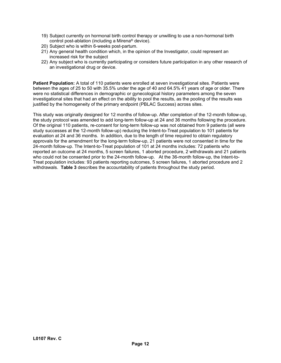- 19) Subject currently on hormonal birth control therapy or unwilling to use a non-hormonal birth control post-ablation (including a Mirena® device).
- 20) Subject who is within 6-weeks post-partum.
- 21) Any general health condition which, in the opinion of the Investigator, could represent an increased risk for the subject
- 22) Any subject who is currently participating or considers future participation in any other research of an investigational drug or device.

**Patient Population:** A total of 110 patients were enrolled at seven investigational sites. Patients were between the ages of 25 to 50 with 35.5% under the age of 40 and 64.5% 41 years of age or older. There were no statistical differences in demographic or gynecological history parameters among the seven investigational sites that had an effect on the ability to pool the results, as the pooling of the results was justified by the homogeneity of the primary endpoint (PBLAC Success) across sites.

This study was originally designed for 12 months of follow-up. After completion of the 12-month follow-up, the study protocol was amended to add long-term follow-up at 24 and 36 months following the procedure. Of the original 110 patients, re-consent for long-term follow-up was not obtained from 9 patients (all were study successes at the 12-month follow-up) reducing the Intent-to-Treat population to 101 patients for evaluation at 24 and 36 months. In addition, due to the length of time required to obtain regulatory approvals for the amendment for the long-term follow-up, 21 patients were not consented in time for the 24-month follow-up. The Intent-to-Treat population of 101 at 24 months includes: 72 patients who reported an outcome at 24 months, 5 screen failures, 1 aborted procedure, 2 withdrawals and 21 patients who could not be consented prior to the 24-month follow-up. At the 36-month follow-up, the Intent-to-Treat population includes: 93 patients reporting outcomes, 5 screen failures, 1 aborted procedure and 2 withdrawals. **Table 3** describes the accountability of patients throughout the study period.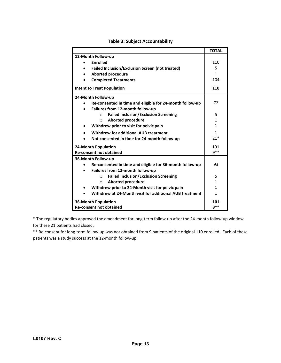|                                                           | <b>TOTAL</b> |
|-----------------------------------------------------------|--------------|
| 12-Month Follow-up                                        |              |
| <b>Enrolled</b>                                           | 110          |
| <b>Failed Inclusion/Exclusion Screen (not treated)</b>    | 5            |
| <b>Aborted procedure</b>                                  | $\mathbf{1}$ |
| <b>Completed Treatments</b>                               | 104          |
| <b>Intent to Treat Population</b>                         | 110          |
| 24-Month Follow-up                                        |              |
| Re-consented in time and eligible for 24-month follow-up  | 72           |
| Failures from 12-month follow-up                          |              |
| <b>Failed Inclusion/Exclusion Screening</b><br>$\bigcirc$ | 5            |
| <b>Aborted procedure</b><br>$\Omega$                      | $\mathbf{1}$ |
| Withdrew prior to visit for pelvic pain                   | 1            |
| Withdrew for additional AUB treatment                     | 1            |
| Not consented in time for 24-month follow-up              | $21*$        |
| 24-Month Population                                       | 101          |
| <b>Re-consent not obtained</b>                            | $9**$        |
| 36-Month Follow-up                                        |              |
| Re-consented in time and eligible for 36-month follow-up  | 93           |
| Failures from 12-month follow-up<br>$\bullet$             |              |
| <b>Failed Inclusion/Exclusion Screening</b><br>$\Omega$   | 5            |
| <b>Aborted procedure</b><br>$\circ$                       | $\mathbf{1}$ |
| Withdrew prior to 24-Month visit for pelvic pain          | $\mathbf{1}$ |
| Withdrew at 24-Month visit for additional AUB treatment   | 1            |
| <b>36-Month Population</b>                                | 101          |
| <b>Re-consent not obtained</b>                            | 9**          |

# **Table 3: Subject Accountability**

\* The regulatory bodies approved the amendment for long-term follow-up after the 24-month follow-up window for these 21 patients had closed.

\*\* Re-consent for long-term follow-up was not obtained from 9 patients of the original 110 enrolled. Each of these patients was a study success at the 12-month follow-up.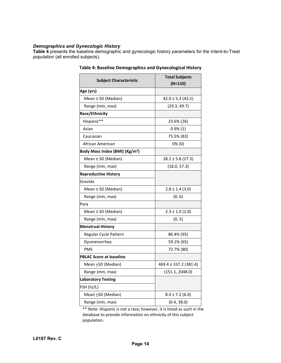# *Demographics and Gynecologic History*

**Table 4** presents the baseline demographic and gynecologic history parameters for the Intent-to-Treat population (all enrolled subjects).

| <b>Subject Characteristic</b>              | <b>Total Subjects</b><br>$(N=110)$ |
|--------------------------------------------|------------------------------------|
| Age (yrs)                                  |                                    |
| Mean ± SD (Median)                         | $42.0 \pm 5.3$ (43.2)              |
| Range (min, max)                           | (29.3, 49.7)                       |
| Race/Ethnicity                             |                                    |
| Hispanic**                                 | 23.6% (26)                         |
| Asian                                      | $0.9\%(1)$                         |
| Caucasian                                  | 75.5% (83)                         |
| African American                           | 0% (0)                             |
| Body Mass Index (BMI) (Kg/m <sup>2</sup> ) |                                    |
| Mean ± SD (Median)                         | $28.2 \pm 5.8$ (27.3)              |
| Range (min, max)                           | (18.0, 57.3)                       |
| <b>Reproductive History</b>                |                                    |
| Gravida                                    |                                    |
| Mean ± SD (Median)                         | $2.8 \pm 1.4$ (3.0)                |
| Range (min, max)                           | (0, 6)                             |
| Para                                       |                                    |
| Mean ± SD (Median)                         | $2.3 \pm 1.0$ (2.0)                |
| Range (min, max)                           | (0, 5)                             |
| Menstrual History                          |                                    |
| Regular Cycle Pattern                      | 86.4% (95)                         |
| Dysmenorrhea                               | 59.1% (65)                         |
| <b>PMS</b>                                 | 72.7% (80)                         |
| <b>PBLAC Score at baseline</b>             |                                    |
| Mean +SD (Median)                          | $469.4 \pm 337.2$ (381.4)          |
| (151.1, 2048.0)<br>Range (min, max)        |                                    |
| <b>Laboratory Testing</b>                  |                                    |
| FSH (IU/L)                                 |                                    |
| Mean +SD (Median)                          | $8.0 \pm 7.2$ (6.0)                |
| Range (min, max)                           | (0.4, 38.0)                        |

| Table 4: Baseline Demographics and Gynecological History |  |
|----------------------------------------------------------|--|
|----------------------------------------------------------|--|

\*\* Note: Hispanic is not a race; however, it is listed as such in the database to provide information on ethnicity of this subject population.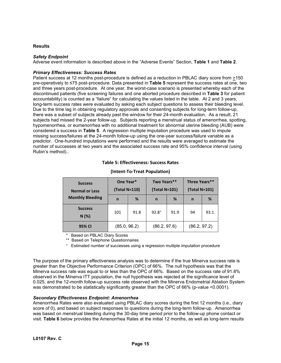#### **Results**

## *Safety Endpoint*

Adverse event information is described above in the "Adverse Events" Section, **Table 1** and **Table 2**.

#### *Primary Effectiveness: Success Rates*

Patient success at 12 months post-procedure is defined as a reduction in PBLAC diary score from >150 pre-operatively to ≤75 post-procedure. Data presented in **Table 5** represent the success rates at one, two and three years post-procedure. At one year, the worst-case scenario is presented whereby each of the discontinued patients (five screening failures and one aborted procedure described in **Table 3** for patient accountability) is counted as a "failure" for calculating the values listed in the table. At 2 and 3 years, long-term success rates were evaluated by asking each subject questions to assess their bleeding level. Due to the time lag in obtaining regulatory approvals and consenting subjects for long-term follow-up, there was a subset of subjects already past the window for their 24-month evaluation. As a result, 21 subjects had missed the 2-year follow-up. Subjects reporting a menstrual status of amenorrhea, spotting, hypomenorrhea, or eumenorrhea with no additional treatment for abnormal uterine bleeding (AUB) were considered a success in **Table 5**. A regression multiple imputation procedure was used to impute missing success/failures at the 24-month follow-up using the one-year success/failure variable as a predictor. One-hundred imputations were performed and the results were averaged to estimate the number of successes at two years and the associated success rate and 95% confidence interval (using Rubin's method)..

## **Table 5: Effectiveness: Success Rates**

| <b>Success</b><br><b>Normal or Less</b> | One Year*<br>(Total N=110) |      | Two Years**<br>(Total N=101) |      | Three Years**<br>(Total N=101) |      |
|-----------------------------------------|----------------------------|------|------------------------------|------|--------------------------------|------|
| <b>Monthly Bleeding</b>                 | $\mathsf{n}$               | %    | $\mathsf{n}$                 | %    | $\mathsf{n}$                   | %    |
| <b>Success</b><br>N(%)                  | 101                        | 91.8 | $92.8^{+}$                   | 91.9 | 94                             | 93.1 |
| 95% CI                                  | (85.0, 96.2)               |      | (86.2, 97.6)                 |      | (86.2, 97.2)                   |      |

#### **(Intent-To-Treat Population)**

\* Based on PBLAC Diary Scores

\*\* Based on Telephone Questionnaires

+ Estimated number of successes using a regression multiple imputation procedure

The purpose of the primary effectiveness analysis was to determine if the true Minerva success rate is greater than the Objective Performance Criterion (OPC) of 66%. The null hypothesis was that the Minerva success rate was equal to or less than the OPC of 66%. Based on the success rate of 91.8% observed in the Minerva ITT population, the null hypothesis was rejected at the significance level of 0.025, and the 12-month follow-up success rate observed with the Minerva Endometrial Ablation System was demonstrated to be statistically significantly greater than the OPC of 66% (p-value <0.0001).

#### *Secondary Effectiveness Endpoint: Amenorrhea*

Amenorrhea Rates were also evaluated using PBLAC diary scores during the first 12 months (i.e., diary score of 0), and based on subject responses to questions during the long-term follow-up. Amenorrhea was based on menstrual bleeding during the 30-day time period prior to the follow-up phone contact or visit. **Table 6** below provides the Amenorrhea Rates at the initial 12 months, as well as long-term results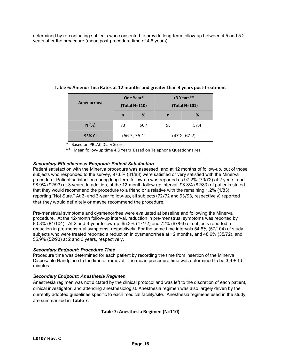determined by re-contacting subjects who consented to provide long-term follow-up between 4.5 and 5.2 years after the procedure (mean post-procedure time of 4.8 years).

| Amenorrhea | One Year*<br>(Total N=110) |            |   | >3 Years**<br>(Total N=101) |
|------------|----------------------------|------------|---|-----------------------------|
|            | $\mathsf{n}$               | %          | n | %                           |
| N(%)       | 73                         | 58<br>66.4 |   | 57.4                        |
| 95% CI     | (56.7, 75.1)               |            |   | (47.2, 67.2)                |

**Table 6: Amenorrhea Rates at 12 months and greater than 3 years post-treatment**

\* Based on PBLAC Diary Scores

\*\* Mean follow-up time 4.8 Years Based on Telephone Questionnaires

# *Secondary Effectiveness Endpoint: Patient Satisfaction*

Patient satisfaction with the Minerva procedure was assessed, and at 12 months of follow-up, out of those subjects who responded to the survey, 97.6% (81/83) were satisfied or very satisfied with the Minerva procedure. Patient satisfaction during long-term follow-up was reported as 97.2% (70/72) at 2 years, and 98.9% (92/93) at 3 years. In addition, at the 12-month follow-up interval, 98.8% (82/83) of patients stated that they would recommend the procedure to a friend or a relative with the remaining 1.2% (1/83) reporting "Not Sure." At 2- and 3-year follow-up, all subjects (72/72 and 93/93, respectively) reported that they would definitely or maybe recommend the procedure.

Pre-menstrual symptoms and dysmenorrhea were evaluated at baseline and following the Minerva procedure. At the 12-month follow-up interval, reduction in pre-menstrual symptoms was reported by 80.8% (84/104). At 2 and 3-year follow-up, 65.3% (47/72) and 72% (67/93) of subjects reported a reduction in pre-menstrual symptoms, respectively. For the same time intervals 54.8% (57/104) of study subjects who were treated reported a reduction in dysmenorrhea at 12 months, and 48.6% (35/72), and 55.9% (52/93) at 2 and 3 years, respectively.

# *Secondary Endpoint: Procedure Time*

Procedure time was determined for each patient by recording the time from insertion of the Minerva Disposable Handpiece to the time of removal. The mean procedure time was determined to be  $3.9 \pm 1.5$ minutes.

# *Secondary Endpoint: Anesthesia Regimen*

Anesthesia regimen was not dictated by the clinical protocol and was left to the discretion of each patient, clinical investigator, and attending anesthesiologist. Anesthesia regimen was also largely driven by the currently adopted guidelines specific to each medical facility/site. Anesthesia regimens used in the study are summarized in **Table 7**.

# **Table 7: Anesthesia Regimen (N=110)**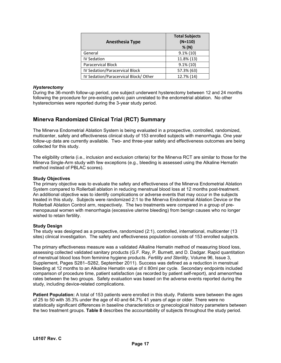| <b>Anesthesia Type</b>                | <b>Total Subjects</b><br>$(N=110)$<br>% (N) |
|---------------------------------------|---------------------------------------------|
| General                               | $9.1\%(10)$                                 |
| <b>IV Sedation</b>                    | 11.8% (13)                                  |
| <b>Paracervical Block</b>             | $9.1\%(10)$                                 |
| IV Sedation/Paracervical Block        | 57.3% (63)                                  |
| IV Sedation/Paracervical Block/ Other | 12.7% (14)                                  |

#### *Hysterectomy*

During the 36-month follow-up period, one subject underwent hysterectomy between 12 and 24 months following the procedure for pre-existing pelvic pain unrelated to the endometrial ablation. No other hysterectomies were reported during the 3-year study period.

# **Minerva Randomized Clinical Trial (RCT) Summary**

The Minerva Endometrial Ablation System is being evaluated in a prospective, controlled, randomized, multicenter, safety and effectiveness clinical study of 153 enrolled subjects with menorrhagia. One year follow-up data are currently available. Two- and three-year safety and effectiveness outcomes are being collected for this study.

The eligibility criteria (i.e., inclusion and exclusion criteria) for the Minerva RCT are similar to those for the Minerva Single-Arm study with few exceptions (e.g., bleeding is assessed using the Alkaline Hematin method instead of PBLAC scores).

#### **Study Objectives**

The primary objective was to evaluate the safety and effectiveness of the Minerva Endometrial Ablation System compared to Rollerball ablation in reducing menstrual blood loss at 12 months post-treatment. An additional objective was to identify complications or adverse events that may occur in the subjects treated in this study. Subjects were randomized 2:1 to the Minerva Endometrial Ablation Device or the Rollerball Ablation Control arm, respectively. The two treatments were compared in a group of premenopausal women with menorrhagia (excessive uterine bleeding) from benign causes who no longer wished to retain fertility.

#### **Study Design**

The study was designed as a prospective, randomized (2:1), controlled, international, multicenter (13 sites) clinical investigation. The safety and effectiveness population consists of 153 enrolled subjects.

The primary effectiveness measure was a validated Alkaline Hematin method of measuring blood loss, assessing collected validated sanitary products (G.F. Ray, P. Burnett, and D. Dadgar. Rapid quantitation of menstrual blood loss from feminine hygiene products. *Fertility and Sterility*, Volume 96, Issue 3, Supplement, Pages S281–S282, September 2011). Success was defined as a reduction in menstrual bleeding at 12 months to an Alkaline Hematin value of ≤ 80ml per cycle. Secondary endpoints included comparison of procedure time, patient satisfaction (as recorded by patient self-report), and amenorrhea rates between the two groups. Safety evaluation was based on the adverse events reported during the study, including device-related complications.

**Patient Population:** A total of 153 patients were enrolled in this study. Patients were between the ages of 25 to 50 with 35.3% under the age of 40 and 64.7% 41 years of age or older. There were no statistically significant differences in baseline characteristics or gynecological history parameters between the two treatment groups. **Table 8** describes the accountability of subjects throughout the study period.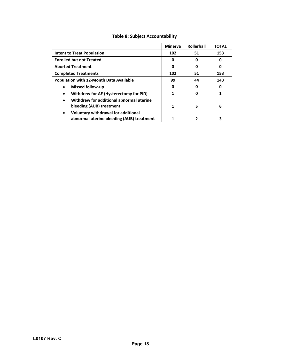# **Table 8: Subject Accountability**

|                                                                                               | <b>Minerva</b> | <b>Rollerball</b> | <b>TOTAL</b> |
|-----------------------------------------------------------------------------------------------|----------------|-------------------|--------------|
| <b>Intent to Treat Population</b>                                                             | 102            | 51                | 153          |
| <b>Enrolled but not Treated</b>                                                               | 0              | 0                 | 0            |
| <b>Aborted Treatment</b>                                                                      | 0              | ŋ                 | 0            |
| <b>Completed Treatments</b>                                                                   | 102            | 51                | 153          |
| <b>Population with 12-Month Data Available</b>                                                | 99             | 44                | 143          |
| <b>Missed follow-up</b><br>$\bullet$                                                          | 0              |                   | 0            |
| Withdrew for AE (Hysterectomy for PID)<br>$\bullet$                                           |                | Ω                 |              |
| Withdrew for additional abnormal uterine<br>bleeding (AUB) treatment                          |                | 5                 | 6            |
| Voluntary withdrawal for additional<br>$\bullet$<br>abnormal uterine bleeding (AUB) treatment |                |                   |              |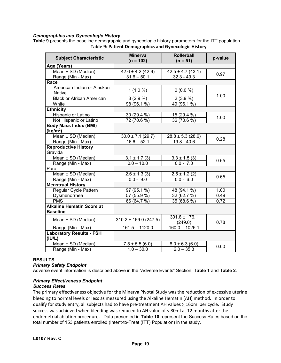# *Demographics and Gynecologic History*

**Table 9** presents the baseline demographic and gynecologic history parameters for the ITT population. **Table 9: Patient Demographics and Gynecologic History**

| <b>Subject Characteristic</b>                        | <b>Minerva</b><br>$(n = 102)$ | <b>Rollerball</b><br>$(n = 51)$ | p-value |
|------------------------------------------------------|-------------------------------|---------------------------------|---------|
| Age (Years)                                          |                               |                                 |         |
| Mean ± SD (Median)                                   | $42.6 \pm 4.2$ (42.9)         | $42.5 \pm 4.7$ (43.1)           |         |
| Range (Min - Max)                                    | $31.6 - 50.1$                 | $32.3 - 49.3$                   | 0.97    |
| Race                                                 |                               |                                 |         |
| American Indian or Alaskan<br><b>Native</b>          | $1(1.0\%)$                    | $0(0.0\%)$                      |         |
| <b>Black or African American</b>                     | $3(2.9\%)$                    | $2(3.9\%)$                      | 1.00    |
| White                                                | 98 (96.1 %)                   | 49 (96.1 %)                     |         |
| <b>Ethnicity</b>                                     |                               |                                 |         |
| Hispanic or Latino                                   | 30 (29.4 %)                   | 15 (29.4 %)                     | 1.00    |
| Not Hispanic or Latino                               | 72 (70.6 %)                   | 36 (70.6 %)                     |         |
| <b>Body Mass Index (BMI)</b><br>(kg/m <sup>2</sup> ) |                               |                                 |         |
| Mean ± SD (Median)                                   | $30.0 \pm 7.1$ (29.7)         | $28.8 \pm 5.3$ (28.6)           |         |
| Range (Min - Max)                                    | $16.6 - 52.1$                 | $19.8 - 40.6$                   | 0.28    |
| <b>Reproductive History</b>                          |                               |                                 |         |
| Gravida                                              |                               |                                 |         |
| Mean ± SD (Median)                                   | $3.1 \pm 1.7$ (3)             | $3.3 \pm 1.5$ (3)               |         |
| Range (Min - Max)                                    | $0.0 - 10.0$                  | $0.0 - 7.0$                     | 0.65    |
| Para                                                 |                               |                                 |         |
| Mean ± SD (Median)                                   | $2.6 \pm 1.3$ (3)             | $2.5 \pm 1.2$ (2)               |         |
| Range (Min - Max)                                    | $0.0 - 9.0$                   | $0.0 - 6.0$                     | 0.65    |
| <b>Menstrual History</b>                             |                               |                                 |         |
| Regular Cycle Pattern                                | 97 (95.1 %)                   | 48 (94.1 %)                     | 1.00    |
| Dysmenorrhea                                         | 57 (55.9 %)                   | 32 (62.7 %)                     | 0.49    |
| <b>PMS</b>                                           | 66 (64.7 %)                   | 35 (68.6 %)                     | 0.72    |
| <b>Alkaline Hematin Score at</b><br><b>Baseline</b>  |                               |                                 |         |
| Mean $\pm$ SD (Median)                               | $310.2 \pm 169.0$ (247.5)     | $301.8 \pm 176.1$<br>(249.0)    | 0.78    |
| Range (Min - Max)                                    | $161.5 - 1120.0$              | $160.0 - 1026.1$                |         |
| <b>Laboratory Results - FSH</b><br>(IU/L)            |                               |                                 |         |
| Mean ± SD (Median)                                   | $7.5 \pm 5.5$ (6.0)           | $8.0 \pm 6.3$ (6.0)             | 0.60    |
| Range (Min - Max)                                    | $1.0 - 30.0$                  | $2.0 - 35.3$                    |         |

# **RESULTS**

#### *Primary Safety Endpoint*

Adverse event information is described above in the "Adverse Events" Section, **Table 1** and **Table 2**.

#### *Primary Effectiveness Endpoint*

#### *Success Rates*

The primary effectiveness objective for the Minerva Pivotal Study was the reduction of excessive uterine bleeding to normal levels or less as measured using the Alkaline Hematin (AH) method. In order to qualify for study entry, all subjects had to have pre-treatment AH values > 160ml per cycle. Study success was achieved when bleeding was reduced to AH value of < 80ml at 12 months after the endometrial ablation procedure. Data presented in **Table 10** represent the Success Rates based on the total number of 153 patients enrolled (Intent-to-Treat (ITT) Population) in the study.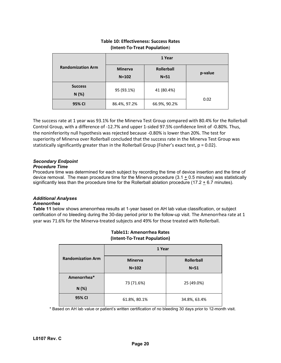|                          | 1 Year                      |                               |         |
|--------------------------|-----------------------------|-------------------------------|---------|
| <b>Randomization Arm</b> | <b>Minerva</b><br>$N = 102$ | <b>Rollerball</b><br>$N = 51$ | p-value |
| <b>Success</b><br>N(%)   | 95 (93.1%)                  | 41 (80.4%)                    |         |
| 95% CI                   | 86.4%, 97.2%                | 66.9%, 90.2%                  | 0.02    |

# **Table 10: Effectiveness: Success Rates (Intent-To-Treat Population**)

The success rate at 1 year was 93.1% for the Minerva Test Group compared with 80.4% for the Rollerball Control Group, with a difference of -12.7% and upper 1-sided 97.5% confidence limit of -0.80%. Thus, the noninferiority null hypothesis was rejected because -0.80% is lower than 20%. The test for superiority of Minerva over Rollerball concluded that the success rate in the Minerva Test Group was statistically significantly greater than in the Rollerball Group (Fisher's exact test, p = 0.02).

# *Secondary Endpoint*

# *Procedure Time*

Procedure time was determined for each subject by recording the time of device insertion and the time of device removal. The mean procedure time for the Minerva procedure (3.1  $\pm$  0.5 minutes) was statistically significantly less than the procedure time for the Rollerball ablation procedure (17.2 + 6.7 minutes).

#### *Additional Analyses Amenorrhea*

**Table 11** below shows amenorrhea results at 1-year based on AH lab value classification, or subject certification of no bleeding during the 30-day period prior to the follow-up visit. The Amenorrhea rate at 1 year was 71.6% for the Minerva-treated subjects and 49% for those treated with Rollerball.

|                          | 1 Year                      |                               |
|--------------------------|-----------------------------|-------------------------------|
| <b>Randomization Arm</b> | <b>Minerva</b><br>$N = 102$ | <b>Rollerball</b><br>$N = 51$ |
| Amenorrhea*              | 73 (71.6%)                  | 25 (49.0%)                    |
| N(%)                     |                             |                               |
| 95% CI                   | 61.8%, 80.1%                | 34.8%, 63.4%                  |

## **Table11: Amenorrhea Rates (Intent-To-Treat Population)**

\* Based on AH lab value or patient's written certification of no bleeding 30 days prior to 12-month visit.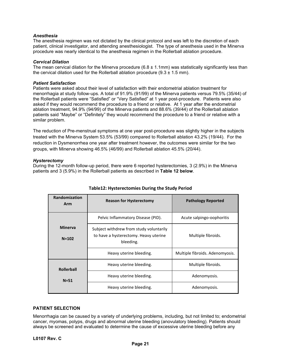## *Anesthesia*

The anesthesia regimen was not dictated by the clinical protocol and was left to the discretion of each patient, clinical investigator, and attending anesthesiologist. The type of anesthesia used in the Minerva procedure was nearly identical to the anesthesia regimen in the Rollerball ablation procedure.

#### *Cervical Dilation*

The mean cervical dilation for the Minerva procedure (6.8  $\pm$  1.1mm) was statistically significantly less than the cervical dilation used for the Rollerball ablation procedure  $(9.3 \pm 1.5 \text{ mm})$ .

# *Patient Satisfaction*

Patients were asked about their level of satisfaction with their endometrial ablation treatment for menorrhagia at study follow-ups. A total of 91.9% (91/99) of the Minerva patients versus 79.5% (35/44) of the Rollerball patients were "Satisfied" or "Very Satisfied" at 1 year post-procedure. Patients were also asked if they would recommend the procedure to a friend or relative. At 1 year after the endometrial ablation treatment, 94.9% (94/99) of the Minerva patients and 88.6% (39/44) of the Rollerball ablation patients said "Maybe" or "Definitely" they would recommend the procedure to a friend or relative with a similar problem.

The reduction of Pre-menstrual symptoms at one year post-procedure was slightly higher in the subjects treated with the Minerva System 53.5% (53/99) compared to Rollerball ablation 43.2% (19/44). For the reduction in Dysmenorrhea one year after treatment however, the outcomes were similar for the two groups, with Minerva showing 46.5% (46/99) and Rollerball ablation 45.5% (20/44).

#### *Hysterectomy*

During the 12-month follow-up period, there were 6 reported hysterectomies, 3 (2.9%) in the Minerva patients and 3 (5.9%) in the Rollerball patients as described in **Table 12 below**.

| <b>Randomization</b><br>Arm | <b>Reason for Hysterectomy</b>                                                                | <b>Pathology Reported</b>       |
|-----------------------------|-----------------------------------------------------------------------------------------------|---------------------------------|
|                             | Pelvic Inflammatory Disease (PID).                                                            | Acute salpingo-oophoritis       |
| <b>Minerva</b><br>$N = 102$ | Subject withdrew from study voluntarily<br>to have a hysterectomy. Heavy uterine<br>bleeding. | Multiple fibroids.              |
|                             | Heavy uterine bleeding.                                                                       | Multiple fibroids. Adenomyosis. |
| <b>Rollerball</b>           | Heavy uterine bleeding.                                                                       | Multiple fibroids.              |
| $N = 51$                    | Heavy uterine bleeding.                                                                       | Adenomyosis.                    |
|                             | Heavy uterine bleeding.                                                                       | Adenomyosis.                    |

# **Table12: Hysterectomies During the Study Period**

## <span id="page-21-0"></span>**PATIENT SELECTION**

Menorrhagia can be caused by a variety of underlying problems, including, but not limited to; endometrial cancer, myomas, polyps, drugs and abnormal uterine bleeding (anovulatory bleeding). Patients should always be screened and evaluated to determine the cause of excessive uterine bleeding before any

#### **L0107 Rev. C**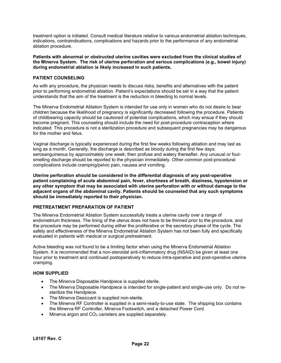treatment option is initiated. Consult medical literature relative to various endometrial ablation techniques, indications, contraindications, complications and hazards prior to the performance of any endometrial ablation procedure.

**Patients with abnormal or obstructed uterine cavities were excluded from the clinical studies of the Minerva System. The risk of uterine perforation and serious complications (e.g., bowel injury) during endometrial ablation is likely increased in such patients.**

## <span id="page-22-0"></span>**PATIENT COUNSELING**

As with any procedure, the physician needs to discuss risks, benefits and alternatives with the patient prior to performing endometrial ablation. Patient's expectations should be set in a way that the patient understands that the aim of the treatment is the reduction in bleeding to normal levels.

The Minerva Endometrial Ablation System is intended for use only in women who do not desire to bear children because the likelihood of pregnancy is significantly decreased following the procedure. Patients of childbearing capacity should be cautioned of potential complications, which may ensue if they should become pregnant. This counseling should include the need for post-procedure contraception where indicated. This procedure is not a sterilization procedure and subsequent pregnancies may be dangerous for the mother and fetus.

Vaginal discharge is typically experienced during the first few weeks following ablation and may last as long as a month. Generally, the discharge is described as bloody during the first few days; serosanguineous by approximately one week; then profuse and watery thereafter. Any unusual or foulsmelling discharge should be reported to the physician immediately. Other common post-procedural complications include cramping/pelvic pain, nausea and vomiting.

**Uterine perforation should be considered in the differential diagnosis of any post-operative patient complaining of acute abdominal pain, fever, shortness of breath, dizziness, hypotension or any other symptom that may be associated with uterine perforation with or without damage to the adjacent organs of the abdominal cavity. Patients should be counseled that any such symptoms should be immediately reported to their physician.**

# <span id="page-22-1"></span>**PRETREATMENT PREPARATION OF PATIENT**

The Minerva Endometrial Ablation System successfully treats a uterine cavity over a range of endometrium thickness. The lining of the uterus does not have to be thinned prior to the procedure, and the procedure may be performed during either the proliferative or the secretory phase of the cycle. The safety and effectiveness of the Minerva Endometrial Ablation System has not been fully and specifically evaluated in patients with medical or surgical pretreatment.

Active bleeding was not found to be a limiting factor when using the Minerva Endometrial Ablation System. It is recommended that a non-steroidal anti-inflammatory drug (NSAID) be given at least one hour prior to treatment and continued postoperatively to reduce intra-operative and post-operative uterine cramping.

#### <span id="page-22-2"></span>**HOW SUPPLIED**

- The Minerva Disposable Handpiece is supplied sterile.
- The Minerva Disposable Handpiece is intended for single-patient and single-use only. Do not resterilize the Handpiece.
- The Minerva Desiccant is supplied non-sterile.
- The Minerva RF Controller is supplied in a semi-ready-to-use state. The shipping box contains the Minerva RF Controller, Minerva Footswitch, and a detached Power Cord.
- Minerva argon and CO<sub>2</sub> canisters are supplied separately.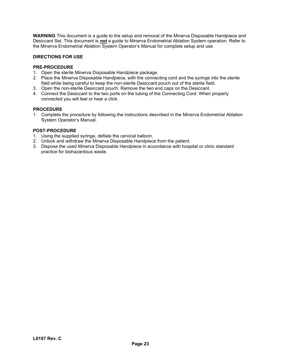**WARNING** This document is a guide to the setup and removal of the Minerva Disposable Handpiece and Desiccant Set. This document is *not* a guide to Minerva Endometrial Ablation System operation. Refer to the Minerva Endometrial Ablation System Operator's Manual for complete setup and use.

## **DIRECTIONS FOR USE**

#### **PRE-PROCEDURE**

- 1. Open the sterile Minerva Disposable Handpiece package.
- 2. Place the Minerva Disposable Handpiece, with the connecting cord and the syringe into the sterile field while being careful to keep the non-sterile Desiccant pouch out of the sterile field.
- 3. Open the non-sterile Desiccant pouch. Remove the two end caps on the Desiccant.
- 4. Connect the Desiccant to the two ports on the tubing of the Connecting Cord. When properly connected you will feel or hear a click.

# **PROCEDURE**

1. Complete the procedure by following the instructions described in the Minerva Endometrial Ablation System Operator's Manual.

## **POST-PROCEDURE**

- 1. Using the supplied syringe, deflate the cervical balloon.
- 2. Unlock and withdraw the Minerva Disposable Handpiece from the patient.
- 3. Dispose the used Minerva Disposable Handpiece in accordance with hospital or clinic standard practice for biohazardous waste.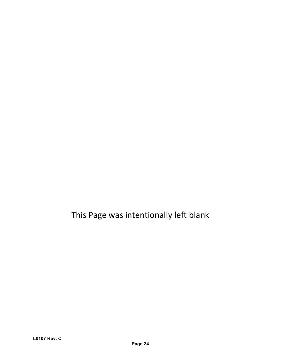This Page was intentionally left blank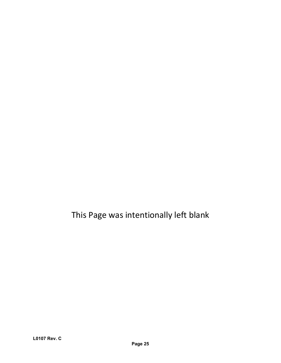This Page was intentionally left blank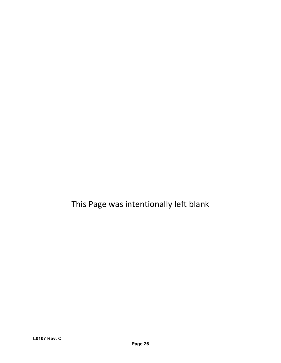This Page was intentionally left blank